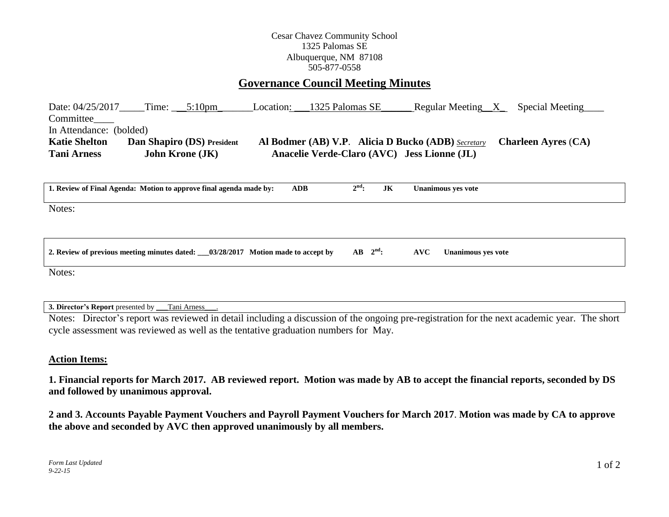## Cesar Chavez Community School 1325 Palomas SE Albuquerque, NM 87108 505-877-0558

## **Governance Council Meeting Minutes**

Date: 04/25/2017 Time: \_\_5:10pm Location: \_\_\_1325 Palomas SE\_\_\_\_\_\_\_ Regular Meeting\_\_X\_\_\_ Special Meeting Committee\_\_\_\_ In Attendance: (bolded) **Katie Shelton Dan Shapiro (DS) President Al Bodmer (AB) V.P**. **Alicia D Bucko (ADB)** *Secretary* **Charleen Ayres** (**CA) Tani Arness John Krone (JK) Anacelie Verde-Claro (AVC) Jess Lionne (JL)** 

| 1. Review of Final Agenda: Motion to approve final agenda made by:                 | <b>ADB</b> | $2nd$ :             | JK | <b>Unanimous yes vote</b>        |
|------------------------------------------------------------------------------------|------------|---------------------|----|----------------------------------|
| Notes:                                                                             |            |                     |    |                                  |
|                                                                                    |            |                     |    |                                  |
| 2. Review of previous meeting minutes dated: __03/28/2017 Motion made to accept by |            | $AB \quad 2^{nd}$ : |    | AVC<br><b>Unanimous ves vote</b> |

Notes:

**3. Director's Report** presented by \_\_\_Tani Arness\_\_\_.

Notes: Director's report was reviewed in detail including a discussion of the ongoing pre-registration for the next academic year. The short cycle assessment was reviewed as well as the tentative graduation numbers for May.

## **Action Items:**

**1. Financial reports for March 2017. AB reviewed report. Motion was made by AB to accept the financial reports, seconded by DS and followed by unanimous approval.**

**2 and 3. Accounts Payable Payment Vouchers and Payroll Payment Vouchers for March 2017**. **Motion was made by CA to approve the above and seconded by AVC then approved unanimously by all members.**